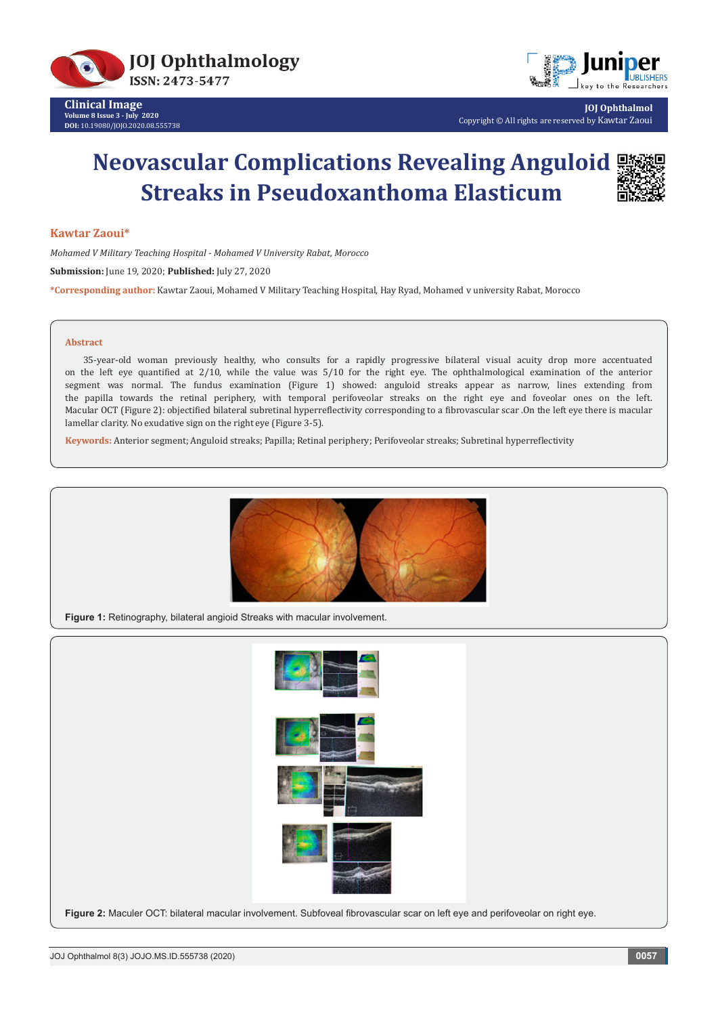



**JOJ Ophthalmol** Copyright © All rights are reserved by Kawtar Zaoui

# **Neovascular Complications Revealing Anguloid Streaks in Pseudoxanthoma Elasticum**



### **Kawtar Zaoui\***

*Mohamed V Military Teaching Hospital - Mohamed V University Rabat, Morocco*

**Submission:** June 19, 2020; **Published:** July 27, 2020

**\*Corresponding author:** Kawtar Zaoui, Mohamed V Military Teaching Hospital, Hay Ryad, Mohamed v university Rabat, Morocco

#### **Abstract**

35-year-old woman previously healthy, who consults for a rapidly progressive bilateral visual acuity drop more accentuated on the left eye quantified at 2/10, while the value was 5/10 for the right eye. The ophthalmological examination of the anterior segment was normal. The fundus examination (Figure 1) showed: anguloid streaks appear as narrow, lines extending from the papilla towards the retinal periphery, with temporal perifoveolar streaks on the right eye and foveolar ones on the left. Macular OCT (Figure 2): objectified bilateral subretinal hyperreflectivity corresponding to a fibrovascular scar .On the left eye there is macular lamellar clarity. No exudative sign on the right eye (Figure 3-5).

**Keywords:** Anterior segment; Anguloid streaks; Papilla; Retinal periphery; Perifoveolar streaks; Subretinal hyperreflectivity



**Figure 1:** Retinography, bilateral angioid Streaks with macular involvement.

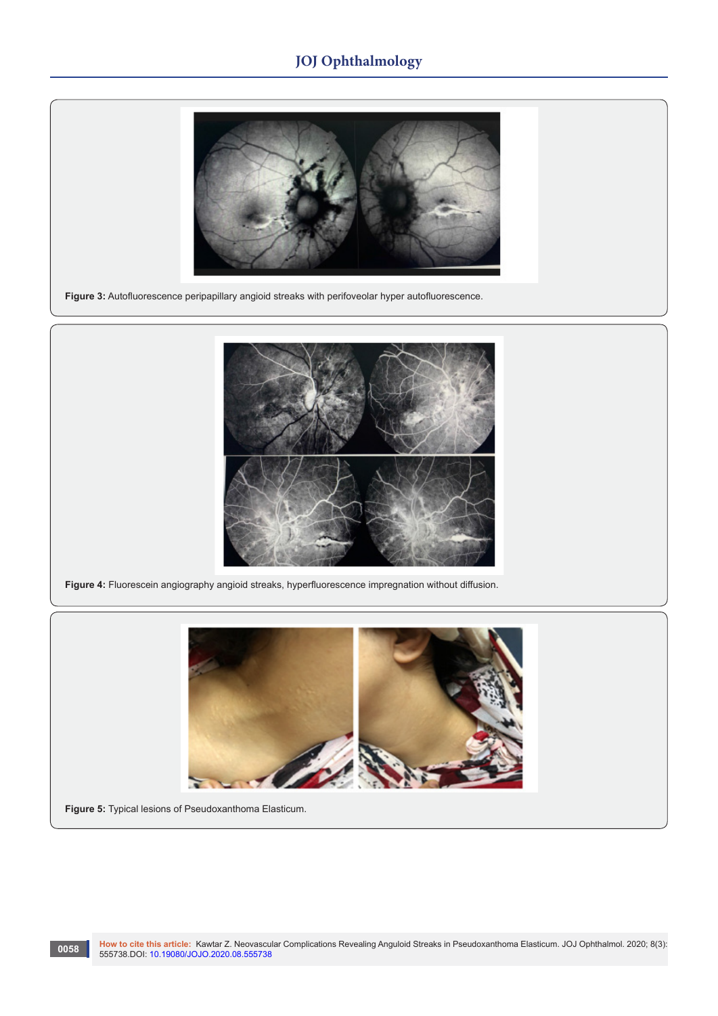# **JOJ Ophthalmology**



**Figure 3:** Autofluorescence peripapillary angioid streaks with perifoveolar hyper autofluorescence.



**Figure 4:** Fluorescein angiography angioid streaks, hyperfluorescence impregnation without diffusion.



**Figure 5:** Typical lesions of Pseudoxanthoma Elasticum.